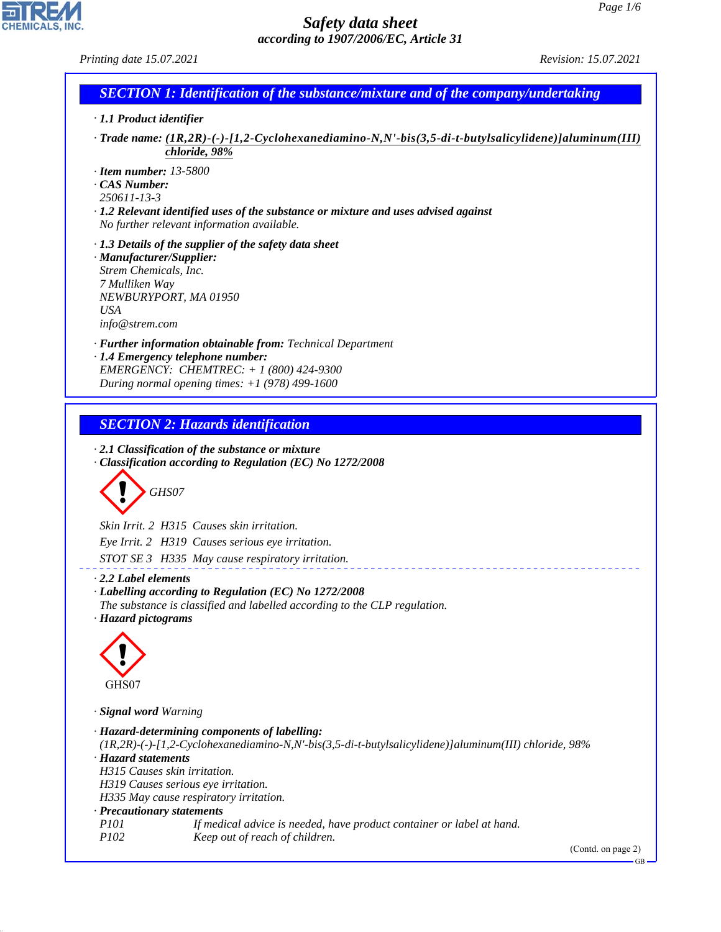*Printing date 15.07.2021 Revision: 15.07.2021*

CHEMICALS, INC.

44.1.1

| · 1.1 Product identifier                                                                            |                                                                                                                                                                                                                                                                                                                                                 |
|-----------------------------------------------------------------------------------------------------|-------------------------------------------------------------------------------------------------------------------------------------------------------------------------------------------------------------------------------------------------------------------------------------------------------------------------------------------------|
|                                                                                                     | Trade name: (1R,2R)-(-)-[1,2-Cyclohexanediamino-N,N'-bis(3,5-di-t-butylsalicylidene)]aluminum(III)<br>chloride, 98%                                                                                                                                                                                                                             |
| $\cdot$ Item number: 13-5800<br>$\cdot$ CAS Number:<br>250611-13-3                                  | $\cdot$ 1.2 Relevant identified uses of the substance or mixture and uses advised against<br>No further relevant information available.                                                                                                                                                                                                         |
| · Manufacturer/Supplier:<br>Strem Chemicals, Inc.<br>7 Mulliken Way<br><b>USA</b><br>info@strem.com | $\cdot$ 1.3 Details of the supplier of the safety data sheet<br>NEWBURYPORT, MA 01950                                                                                                                                                                                                                                                           |
|                                                                                                     | · <b>Further information obtainable from:</b> Technical Department<br>· 1.4 Emergency telephone number:<br>EMERGENCY: CHEMTREC: + 1 (800) 424-9300<br>During normal opening times: $+1$ (978) 499-1600                                                                                                                                          |
|                                                                                                     | <b>SECTION 2: Hazards identification</b>                                                                                                                                                                                                                                                                                                        |
|                                                                                                     | $\cdot$ 2.1 Classification of the substance or mixture<br>Classification according to Regulation (EC) No 1272/2008                                                                                                                                                                                                                              |
|                                                                                                     | GHS07<br>Skin Irrit. 2 H315 Causes skin irritation.<br>Eye Irrit. 2 H319 Causes serious eye irritation.                                                                                                                                                                                                                                         |
| $\cdot$ 2.2 Label elements<br>· Hazard pictograms                                                   | STOT SE 3 H335 May cause respiratory irritation.<br>· Labelling according to Regulation (EC) No 1272/2008<br>The substance is classified and labelled according to the CLP regulation.                                                                                                                                                          |
| GHS07                                                                                               |                                                                                                                                                                                                                                                                                                                                                 |
| · Signal word Warning<br>· Hazard statements<br>· Precautionary statements<br><i>P101</i>           | · Hazard-determining components of labelling:<br>(1R,2R)-(-)-[1,2-Cyclohexanediamino-N,N'-bis(3,5-di-t-butylsalicylidene)]aluminum(III) chloride, 98%<br>H315 Causes skin irritation.<br>H319 Causes serious eye irritation.<br>H335 May cause respiratory irritation.<br>If medical advice is needed, have product container or label at hand. |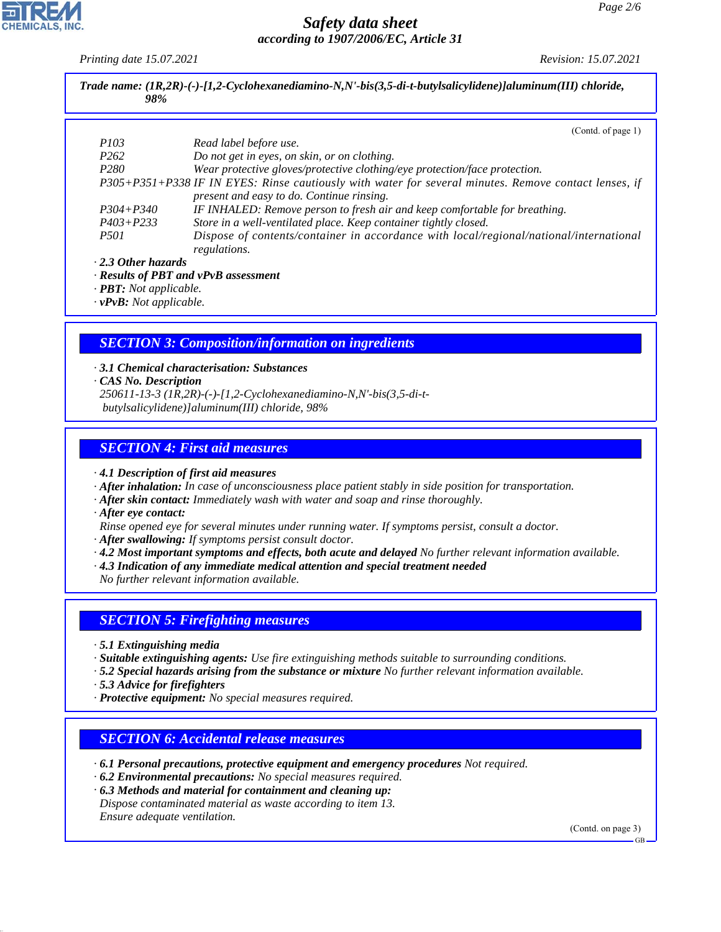*Printing date 15.07.2021 Revision: 15.07.2021*

|                  | (Contd. of page 1)                                                                                                                                 |
|------------------|----------------------------------------------------------------------------------------------------------------------------------------------------|
| <i>P103</i>      | Read label before use.                                                                                                                             |
| P <sub>262</sub> | Do not get in eyes, on skin, or on clothing.                                                                                                       |
| P <sub>280</sub> | Wear protective gloves/protective clothing/eye protection/face protection.                                                                         |
|                  | P305+P351+P338 IF IN EYES: Rinse cautiously with water for several minutes. Remove contact lenses, if<br>present and easy to do. Continue rinsing. |
| $P304 + P340$    | IF INHALED: Remove person to fresh air and keep comfortable for breathing.                                                                         |
| $P403 + P233$    | Store in a well-ventilated place. Keep container tightly closed.                                                                                   |
| <i>P501</i>      | Dispose of contents/container in accordance with local/regional/national/international<br>regulations.                                             |

*· vPvB: Not applicable.*

## *SECTION 3: Composition/information on ingredients*

*· 3.1 Chemical characterisation: Substances · CAS No. Description 250611-13-3 (1R,2R)-(-)-[1,2-Cyclohexanediamino-N,N'-bis(3,5-di-t butylsalicylidene)]aluminum(III) chloride, 98%*

## *SECTION 4: First aid measures*

*· 4.1 Description of first aid measures*

- *· After inhalation: In case of unconsciousness place patient stably in side position for transportation.*
- *· After skin contact: Immediately wash with water and soap and rinse thoroughly.*
- *· After eye contact:*
- *Rinse opened eye for several minutes under running water. If symptoms persist, consult a doctor.*
- *· After swallowing: If symptoms persist consult doctor.*
- *· 4.2 Most important symptoms and effects, both acute and delayed No further relevant information available.*
- *· 4.3 Indication of any immediate medical attention and special treatment needed*

*No further relevant information available.*

#### *SECTION 5: Firefighting measures*

- *· 5.1 Extinguishing media*
- *· Suitable extinguishing agents: Use fire extinguishing methods suitable to surrounding conditions.*
- *· 5.2 Special hazards arising from the substance or mixture No further relevant information available.*
- *· 5.3 Advice for firefighters*

44.1.1

*· Protective equipment: No special measures required.*

#### *SECTION 6: Accidental release measures*

- *· 6.1 Personal precautions, protective equipment and emergency procedures Not required.*
- *· 6.2 Environmental precautions: No special measures required.*
- *· 6.3 Methods and material for containment and cleaning up: Dispose contaminated material as waste according to item 13. Ensure adequate ventilation.*

(Contd. on page 3)

GB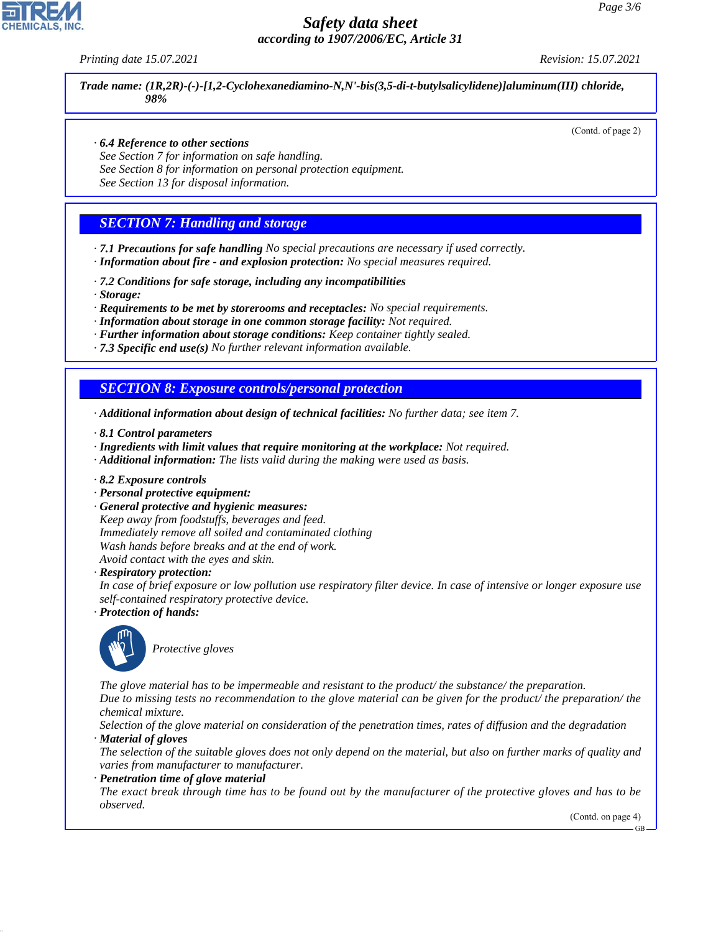*Printing date 15.07.2021 Revision: 15.07.2021*

*Trade name: (1R,2R)-(-)-[1,2-Cyclohexanediamino-N,N'-bis(3,5-di-t-butylsalicylidene)]aluminum(III) chloride, 98%*

(Contd. of page 2)

#### *· 6.4 Reference to other sections*

*See Section 7 for information on safe handling.*

*See Section 8 for information on personal protection equipment.*

*See Section 13 for disposal information.*

## *SECTION 7: Handling and storage*

*· 7.1 Precautions for safe handling No special precautions are necessary if used correctly. · Information about fire - and explosion protection: No special measures required.*

- *· 7.2 Conditions for safe storage, including any incompatibilities*
- *· Storage:*

*· Requirements to be met by storerooms and receptacles: No special requirements.*

*· Information about storage in one common storage facility: Not required.*

*· Further information about storage conditions: Keep container tightly sealed.*

*· 7.3 Specific end use(s) No further relevant information available.*

#### *SECTION 8: Exposure controls/personal protection*

*· Additional information about design of technical facilities: No further data; see item 7.*

- *· 8.1 Control parameters*
- *· Ingredients with limit values that require monitoring at the workplace: Not required.*
- *· Additional information: The lists valid during the making were used as basis.*
- *· 8.2 Exposure controls*
- *· Personal protective equipment:*
- *· General protective and hygienic measures: Keep away from foodstuffs, beverages and feed. Immediately remove all soiled and contaminated clothing Wash hands before breaks and at the end of work. Avoid contact with the eyes and skin.*

*· Respiratory protection:*

*In case of brief exposure or low pollution use respiratory filter device. In case of intensive or longer exposure use self-contained respiratory protective device.*

*· Protection of hands:*



44.1.1

\_S*Protective gloves*

*The glove material has to be impermeable and resistant to the product/ the substance/ the preparation. Due to missing tests no recommendation to the glove material can be given for the product/ the preparation/ the chemical mixture.*

*Selection of the glove material on consideration of the penetration times, rates of diffusion and the degradation · Material of gloves*

*The selection of the suitable gloves does not only depend on the material, but also on further marks of quality and varies from manufacturer to manufacturer.*

*· Penetration time of glove material*

*The exact break through time has to be found out by the manufacturer of the protective gloves and has to be observed.*

(Contd. on page 4)

GB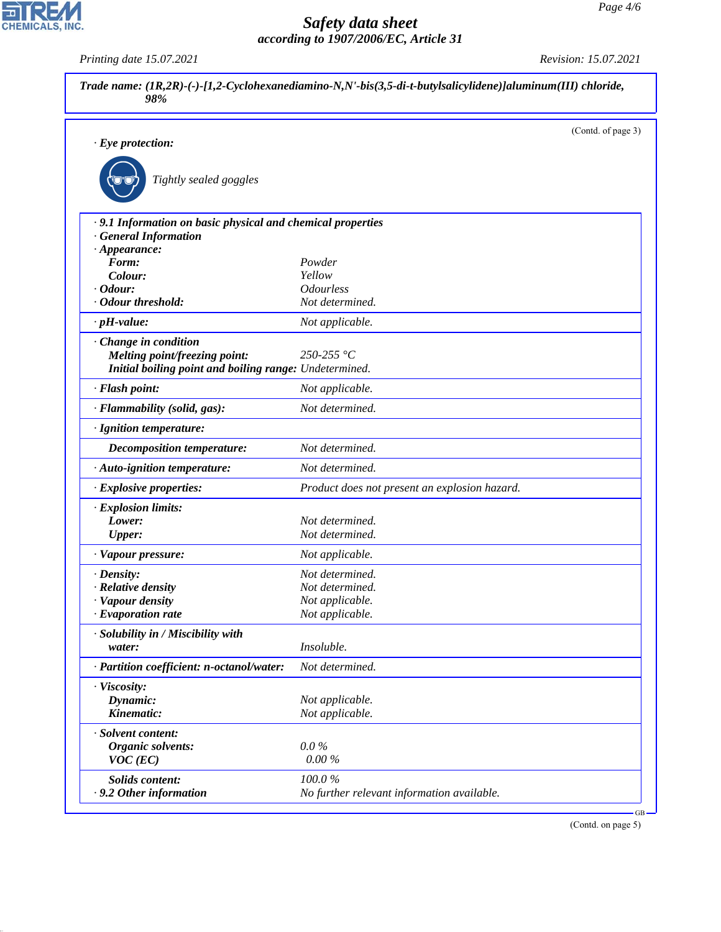|                                                             |                                               | (Contd. of page 3) |
|-------------------------------------------------------------|-----------------------------------------------|--------------------|
| $\cdot$ Eye protection:                                     |                                               |                    |
| Tightly sealed goggles                                      |                                               |                    |
| · 9.1 Information on basic physical and chemical properties |                                               |                    |
| <b>General Information</b>                                  |                                               |                    |
| $\cdot$ Appearance:                                         |                                               |                    |
| Form:<br>Colour:                                            | Powder<br>Yellow                              |                    |
| $\cdot$ Odour:                                              | <b>Odourless</b>                              |                    |
| · Odour threshold:                                          | Not determined.                               |                    |
| $\cdot$ pH-value:                                           | Not applicable.                               |                    |
| Change in condition                                         |                                               |                    |
| Melting point/freezing point:                               | 250-255 °C                                    |                    |
| Initial boiling point and boiling range: Undetermined.      |                                               |                    |
| · Flash point:                                              | Not applicable.                               |                    |
| · Flammability (solid, gas):                                | Not determined.                               |                    |
| · Ignition temperature:                                     |                                               |                    |
| Decomposition temperature:                                  | Not determined.                               |                    |
| · Auto-ignition temperature:                                | Not determined.                               |                    |
| · Explosive properties:                                     | Product does not present an explosion hazard. |                    |
| · Explosion limits:                                         |                                               |                    |
| Lower:                                                      | Not determined.                               |                    |
| <b>Upper:</b>                                               | Not determined.                               |                    |
| · Vapour pressure:                                          | Not applicable.                               |                    |
| · Density:                                                  | Not determined.                               |                    |
| · Relative density                                          | Not determined.                               |                    |
| · Vapour density                                            | Not applicable.                               |                    |
| $\cdot$ Evaporation rate                                    | Not applicable.                               |                    |
| · Solubility in / Miscibility with                          |                                               |                    |
| water:                                                      | Insoluble.                                    |                    |
| · Partition coefficient: n-octanol/water:                   | Not determined.                               |                    |
| · Viscosity:                                                |                                               |                    |
| Dynamic:<br>Kinematic:                                      | Not applicable.                               |                    |
|                                                             | Not applicable.                               |                    |
| · Solvent content:                                          |                                               |                    |
| <b>Organic solvents:</b>                                    | $0.0\%$                                       |                    |
| $VOC$ (EC)                                                  | 0.00%                                         |                    |
| Solids content:                                             | 100.0%                                        |                    |
| . 9.2 Other information                                     | No further relevant information available.    |                    |

(Contd. on page 5)



44.1.1

*Printing date 15.07.2021 Revision: 15.07.2021*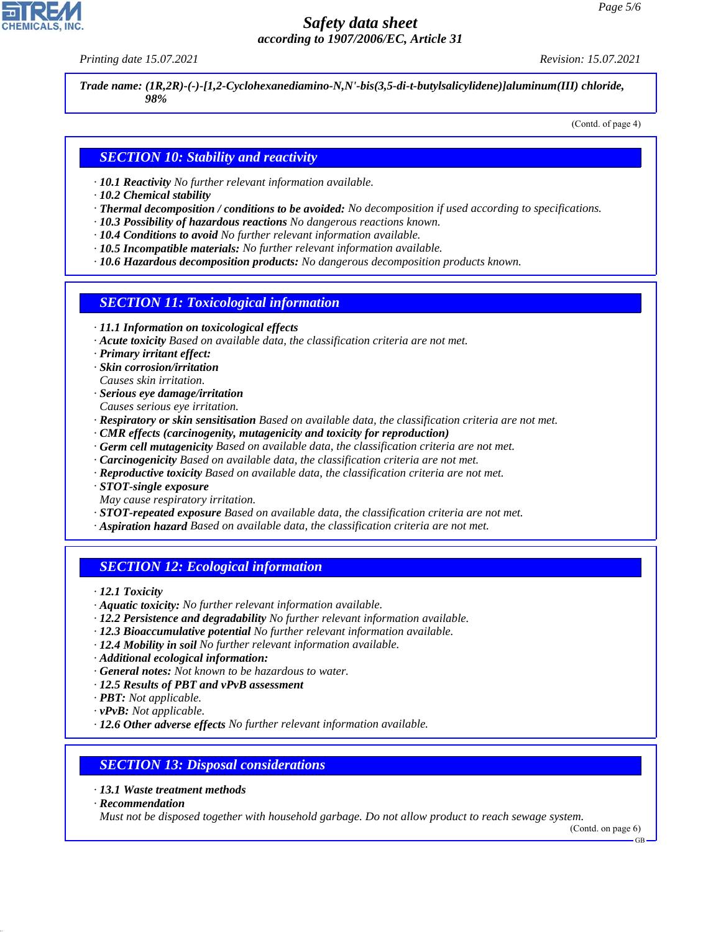*Printing date 15.07.2021 Revision: 15.07.2021*

*Trade name: (1R,2R)-(-)-[1,2-Cyclohexanediamino-N,N'-bis(3,5-di-t-butylsalicylidene)]aluminum(III) chloride, 98%*

(Contd. of page 4)

## *SECTION 10: Stability and reactivity*

- *· 10.1 Reactivity No further relevant information available.*
- *· 10.2 Chemical stability*
- *· Thermal decomposition / conditions to be avoided: No decomposition if used according to specifications.*
- *· 10.3 Possibility of hazardous reactions No dangerous reactions known.*
- *· 10.4 Conditions to avoid No further relevant information available.*
- *· 10.5 Incompatible materials: No further relevant information available.*
- *· 10.6 Hazardous decomposition products: No dangerous decomposition products known.*

#### *SECTION 11: Toxicological information*

- *· 11.1 Information on toxicological effects*
- *· Acute toxicity Based on available data, the classification criteria are not met.*
- *· Primary irritant effect:*
- *· Skin corrosion/irritation*
- *Causes skin irritation.*
- *· Serious eye damage/irritation*
- *Causes serious eye irritation.*
- *· Respiratory or skin sensitisation Based on available data, the classification criteria are not met.*
- *· CMR effects (carcinogenity, mutagenicity and toxicity for reproduction)*
- *· Germ cell mutagenicity Based on available data, the classification criteria are not met.*
- *· Carcinogenicity Based on available data, the classification criteria are not met.*
- *· Reproductive toxicity Based on available data, the classification criteria are not met.*
- *· STOT-single exposure*
- *May cause respiratory irritation.*
- *· STOT-repeated exposure Based on available data, the classification criteria are not met.*
- *· Aspiration hazard Based on available data, the classification criteria are not met.*

# *SECTION 12: Ecological information*

*· 12.1 Toxicity*

- *· Aquatic toxicity: No further relevant information available.*
- *· 12.2 Persistence and degradability No further relevant information available.*
- *· 12.3 Bioaccumulative potential No further relevant information available.*
- *· 12.4 Mobility in soil No further relevant information available.*
- *· Additional ecological information:*
- *· General notes: Not known to be hazardous to water.*
- *· 12.5 Results of PBT and vPvB assessment*
- *· PBT: Not applicable.*
- *· vPvB: Not applicable.*
- *· 12.6 Other adverse effects No further relevant information available.*

#### *SECTION 13: Disposal considerations*

- *· 13.1 Waste treatment methods*
- *· Recommendation*

44.1.1

*Must not be disposed together with household garbage. Do not allow product to reach sewage system.*

GB